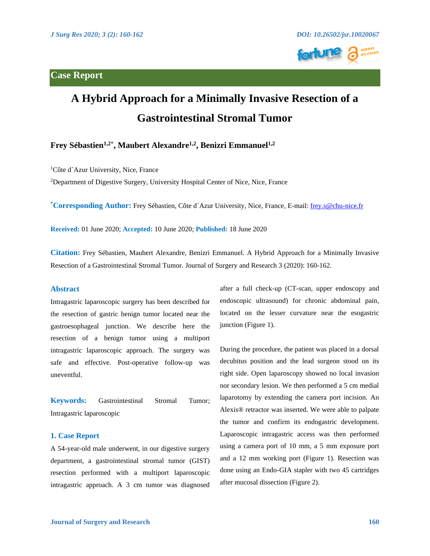# **Case Report**





# **A Hybrid Approach for a Minimally Invasive Resection of a Gastrointestinal Stromal Tumor**

# **Frey Sébastien<sup>1,2\*</sup>, Maubert Alexandre<sup>1,2</sup>, Benizri Emmanuel<sup>1,2</sup>**

<sup>1</sup>Côte d'Azur University, Nice, France

<sup>2</sup>Department of Digestive Surgery, University Hospital Center of Nice, Nice, France

**\* Corresponding Author:** Frey Sébastien, Côte d´Azur University, Nice, France, E-mail: [frey.s@chu-nice.fr](mailto:frey.s@chu-nice.fr) 

**Received:** 01 June 2020; **Accepted:** 10 June 2020; **Published:** 18 June 2020

**Citation:** Frey Sébastien, Maubert Alexandre, Benizri Emmanuel. A Hybrid Approach for a Minimally Invasive Resection of a Gastrointestinal Stromal Tumor. Journal of Surgery and Research 3 (2020): 160-162.

#### **Abstract**

Intragastric laparoscopic surgery has been described for the resection of gastric benign tumor located near the gastroesophageal junction. We describe here the resection of a benign tumor using a multiport intragastric laparoscopic approach. The surgery was safe and effective. Post-operative follow-up was uneventful.

**Keywords:** Gastrointestinal Stromal Tumor; Intragastric laparoscopic

### **1. Case Report**

A 54-year-old male underwent, in our digestive surgery department, a gastrointestinal stromal tumor (GIST) resection performed with a multiport laparoscopic intragastric approach. A 3 cm tumor was diagnosed after a full check-up (CT-scan, upper endoscopy and endoscopic ultrasound) for chronic abdominal pain, located on the lesser curvature near the esogastric junction (Figure 1).

During the procedure, the patient was placed in a dorsal decubitus position and the lead surgeon stood on its right side. Open laparoscopy showed no local invasion nor secondary lesion. We then performed a 5 cm medial laparotomy by extending the camera port incision. An Alexis® retractor was inserted. We were able to palpate the tumor and confirm its endogastric development. Laparoscopic intragastric access was then performed using a camera port of 10 mm, a 5 mm exposure port and a 12 mm working port (Figure 1). Resection was done using an Endo-GIA stapler with two 45 cartridges after mucosal dissection (Figure 2).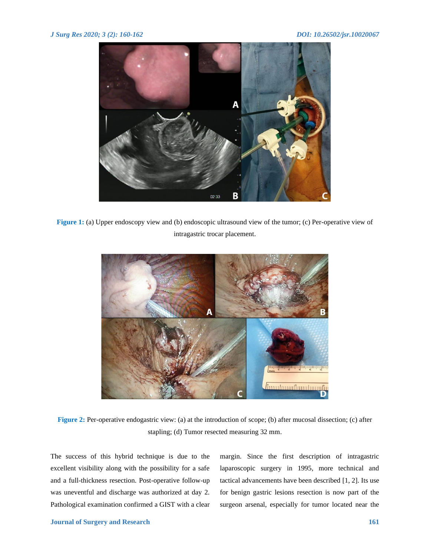

**Figure 1:** (a) Upper endoscopy view and (b) endoscopic ultrasound view of the tumor; (c) Per-operative view of intragastric trocar placement.



**Figure 2:** Per-operative endogastric view: (a) at the introduction of scope; (b) after mucosal dissection; (c) after stapling; (d) Tumor resected measuring 32 mm.

The success of this hybrid technique is due to the excellent visibility along with the possibility for a safe and a full-thickness resection. Post-operative follow-up was uneventful and discharge was authorized at day 2. Pathological examination confirmed a GIST with a clear margin. Since the first description of intragastric laparoscopic surgery in 1995, more technical and tactical advancements have been described [1, 2]. Its use for benign gastric lesions resection is now part of the surgeon arsenal, especially for tumor located near the